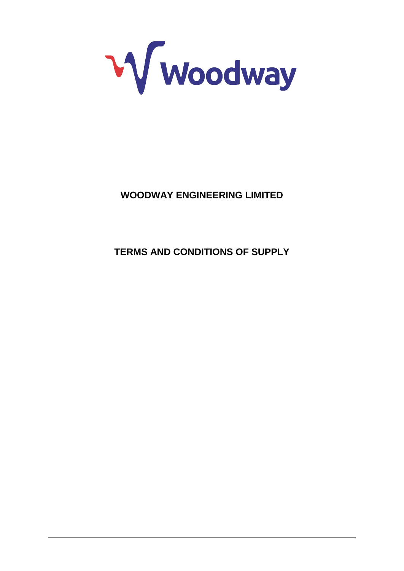

# **WOODWAY ENGINEERING LIMITED**

**TERMS AND CONDITIONS OF SUPPLY**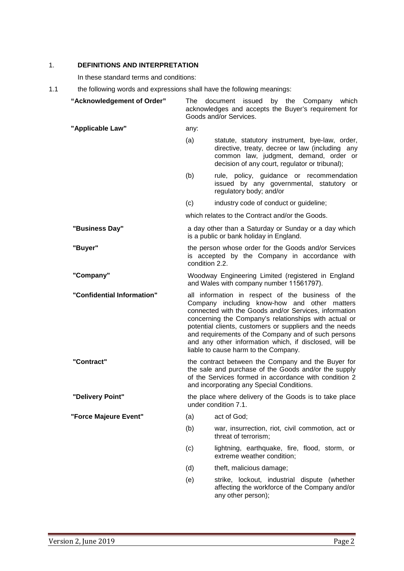## <span id="page-1-0"></span>1. **DEFINITIONS AND INTERPRETATION**

In these standard terms and conditions:

1.1 the following words and expressions shall have the following meanings:

| "Acknowledgement of Order" | ⊤he                                                                                                                                                                                                                                                                                                                                                                                                                                     | by the Company which<br>document issued<br>acknowledges and accepts the Buyer's requirement for<br>Goods and/or Services.                                                                     |
|----------------------------|-----------------------------------------------------------------------------------------------------------------------------------------------------------------------------------------------------------------------------------------------------------------------------------------------------------------------------------------------------------------------------------------------------------------------------------------|-----------------------------------------------------------------------------------------------------------------------------------------------------------------------------------------------|
| "Applicable Law"           | any:                                                                                                                                                                                                                                                                                                                                                                                                                                    |                                                                                                                                                                                               |
|                            | (a)                                                                                                                                                                                                                                                                                                                                                                                                                                     | statute, statutory instrument, bye-law, order,<br>directive, treaty, decree or law (including any<br>common law, judgment, demand, order or<br>decision of any court, regulator or tribunal); |
|                            | (b)                                                                                                                                                                                                                                                                                                                                                                                                                                     | rule, policy, guidance or recommendation<br>issued by any governmental, statutory or<br>regulatory body; and/or                                                                               |
|                            | (c)                                                                                                                                                                                                                                                                                                                                                                                                                                     | industry code of conduct or guideline;                                                                                                                                                        |
|                            |                                                                                                                                                                                                                                                                                                                                                                                                                                         | which relates to the Contract and/or the Goods.                                                                                                                                               |
| "Business Day"             | a day other than a Saturday or Sunday or a day which<br>is a public or bank holiday in England.                                                                                                                                                                                                                                                                                                                                         |                                                                                                                                                                                               |
| "Buyer"                    | the person whose order for the Goods and/or Services<br>is accepted by the Company in accordance with<br>condition 2.2.                                                                                                                                                                                                                                                                                                                 |                                                                                                                                                                                               |
| "Company"                  | Woodway Engineering Limited (registered in England<br>and Wales with company number 11561797).                                                                                                                                                                                                                                                                                                                                          |                                                                                                                                                                                               |
| "Confidential Information" | all information in respect of the business of the<br>Company including know-how and other matters<br>connected with the Goods and/or Services, information<br>concerning the Company's relationships with actual or<br>potential clients, customers or suppliers and the needs<br>and requirements of the Company and of such persons<br>and any other information which, if disclosed, will be<br>liable to cause harm to the Company. |                                                                                                                                                                                               |
| "Contract"                 | the contract between the Company and the Buyer for<br>the sale and purchase of the Goods and/or the supply<br>of the Services formed in accordance with condition 2<br>and incorporating any Special Conditions.                                                                                                                                                                                                                        |                                                                                                                                                                                               |
| "Delivery Point"           | the place where delivery of the Goods is to take place<br>under condition 7.1.                                                                                                                                                                                                                                                                                                                                                          |                                                                                                                                                                                               |
| "Force Majeure Event"      | (a)                                                                                                                                                                                                                                                                                                                                                                                                                                     | act of God;                                                                                                                                                                                   |
|                            | (b)                                                                                                                                                                                                                                                                                                                                                                                                                                     | war, insurrection, riot, civil commotion, act or<br>threat of terrorism;                                                                                                                      |
|                            | (c)                                                                                                                                                                                                                                                                                                                                                                                                                                     | lightning, earthquake, fire, flood, storm, or<br>extreme weather condition;                                                                                                                   |
|                            | (d)                                                                                                                                                                                                                                                                                                                                                                                                                                     | theft, malicious damage;                                                                                                                                                                      |
|                            | (e)                                                                                                                                                                                                                                                                                                                                                                                                                                     | strike, lockout, industrial dispute (whether<br>affecting the workforce of the Company and/or<br>any other person);                                                                           |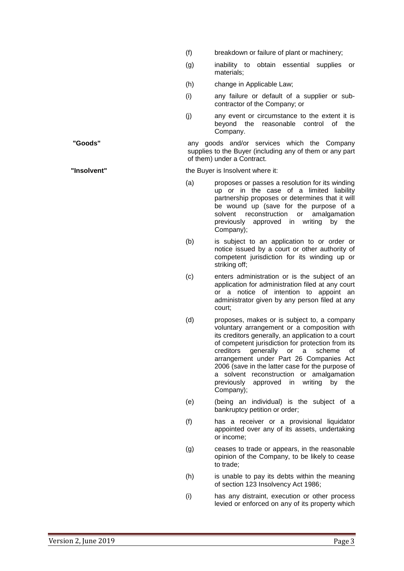- (f) breakdown or failure of plant or machinery;
- (g) inability to obtain essential supplies or materials;
- (h) change in Applicable Law;
- (i) any failure or default of a supplier or subcontractor of the Company; or
- (j) any event or circumstance to the extent it is beyond the reasonable control of the Company.

**"Goods"** any goods and/or services which the Company supplies to the Buyer (including any of them or any part of them) under a Contract.

**"Insolvent"** the Buyer is Insolvent where it:

- (a) proposes or passes a resolution for its winding up or in the case of a limited liability partnership proposes or determines that it will be wound up (save for the purpose of a<br>solvent reconstruction or amalgamation solvent reconstruction or previously approved in writing by the Company);
- (b) is subject to an application to or order or notice issued by a court or other authority of competent jurisdiction for its winding up or striking off;
- (c) enters administration or is the subject of an application for administration filed at any court or a notice of intention to appoint an administrator given by any person filed at any court;
- (d) proposes, makes or is subject to, a company voluntary arrangement or a composition with its creditors generally, an application to a court of competent jurisdiction for protection from its creditors generally or a scheme of arrangement under Part 26 Companies Act 2006 (save in the latter case for the purpose of a solvent reconstruction or amalgamation previously approved in writing by the Company);
- (e) (being an individual) is the subject of a bankruptcy petition or order;
- (f) has a receiver or a provisional liquidator appointed over any of its assets, undertaking or income;
- (g) ceases to trade or appears, in the reasonable opinion of the Company, to be likely to cease to trade;
- (h) is unable to pay its debts within the meaning of section 123 Insolvency Act 1986;
- (i) has any distraint, execution or other process levied or enforced on any of its property which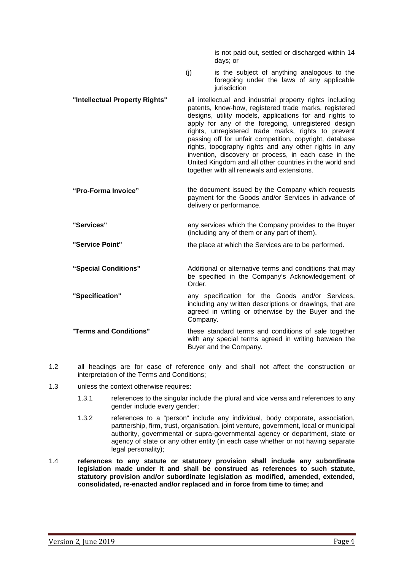is not paid out, settled or discharged within 14 days; or

- (j) is the subject of anything analogous to the foregoing under the laws of any applicable iurisdiction
- **"Intellectual Property Rights"** all intellectual and industrial property rights including patents, know-how, registered trade marks, registered designs, utility models, applications for and rights to apply for any of the foregoing, unregistered design rights, unregistered trade marks, rights to prevent passing off for unfair competition, copyright, database rights, topography rights and any other rights in any invention, discovery or process, in each case in the United Kingdom and all other countries in the world and together with all renewals and extensions.
- **"Pro-Forma Invoice"** the document issued by the Company which requests payment for the Goods and/or Services in advance of delivery or performance.
- **"Services"** any services which the Company provides to the Buyer (including any of them or any part of them).
- **"Service Point"** the place at which the Services are to be performed.
- **"Special Conditions"** Additional or alternative terms and conditions that may be specified in the Company's Acknowledgement of Order.
- **"Specification"** any specification for the Goods and/or Services, including any written descriptions or drawings, that are agreed in writing or otherwise by the Buyer and the Company.

"**Terms and Conditions"** these standard terms and conditions of sale together with any special terms agreed in writing between the Buyer and the Company.

- 1.2 all headings are for ease of reference only and shall not affect the construction or interpretation of the Terms and Conditions;
- 1.3 unless the context otherwise requires:
	- 1.3.1 references to the singular include the plural and vice versa and references to any gender include every gender;
	- 1.3.2 references to a "person" include any individual, body corporate, association, partnership, firm, trust, organisation, joint venture, government, local or municipal authority, governmental or supra-governmental agency or department, state or agency of state or any other entity (in each case whether or not having separate legal personality);
- 1.4 **references to any statute or statutory provision shall include any subordinate legislation made under it and shall be construed as references to such statute, statutory provision and/or subordinate legislation as modified, amended, extended, consolidated, re-enacted and/or replaced and in force from time to time; and**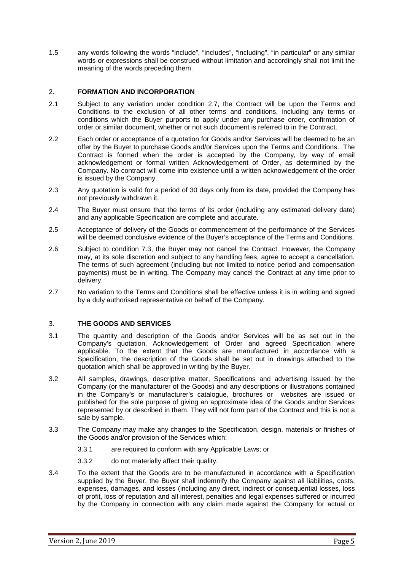1.5 any words following the words "include", "includes", "including", "in particular" or any similar words or expressions shall be construed without limitation and accordingly shall not limit the meaning of the words preceding them.

## <span id="page-4-1"></span>2. **FORMATION AND INCORPORATION**

- 2.1 Subject to any variation under condition [2.7,](#page-4-2) the Contract will be upon the Terms and Conditions to the exclusion of all other terms and conditions, including any terms or conditions which the Buyer purports to apply under any purchase order, confirmation of order or similar document, whether or not such document is referred to in the Contract.
- <span id="page-4-0"></span>2.2 Each order or acceptance of a quotation for Goods and/or Services will be deemed to be an offer by the Buyer to purchase Goods and/or Services upon the Terms and Conditions. The Contract is formed when the order is accepted by the Company, by way of email acknowledgement or formal written Acknowledgement of Order, as determined by the Company. No contract will come into existence until a written acknowledgement of the order is issued by the Company.
- 2.3 Any quotation is valid for a period of 30 days only from its date, provided the Company has not previously withdrawn it.
- 2.4 The Buyer must ensure that the terms of its order (including any estimated delivery date) and any applicable Specification are complete and accurate.
- 2.5 Acceptance of delivery of the Goods or commencement of the performance of the Services will be deemed conclusive evidence of the Buyer's acceptance of the Terms and Conditions.
- 2.6 Subject to condition [7.3,](#page-6-1) the Buyer may not cancel the Contract. However, the Company may, at its sole discretion and subject to any handling fees, agree to accept a cancellation. The terms of such agreement (including but not limited to notice period and compensation payments) must be in writing. The Company may cancel the Contract at any time prior to delivery.
- <span id="page-4-2"></span>2.7 No variation to the Terms and Conditions shall be effective unless it is in writing and signed by a duly authorised representative on behalf of the Company.

## 3. **THE GOODS AND SERVICES**

- 3.1 The quantity and description of the Goods and/or Services will be as set out in the Company's quotation, Acknowledgement of Order and agreed Specification where applicable. To the extent that the Goods are manufactured in accordance with a Specification, the description of the Goods shall be set out in drawings attached to the quotation which shall be approved in writing by the Buyer.
- 3.2 All samples, drawings, descriptive matter, Specifications and advertising issued by the Company (or the manufacturer of the Goods) and any descriptions or illustrations contained in the Company's or manufacturer's catalogue, brochures or websites are issued or published for the sole purpose of giving an approximate idea of the Goods and/or Services represented by or described in them. They will not form part of the Contract and this is not a sale by sample.
- <span id="page-4-3"></span>3.3 The Company may make any changes to the Specification, design, materials or finishes of the Goods and/or provision of the Services which:
	- 3.3.1 are required to conform with any Applicable Laws; or
	- 3.3.2 do not materially affect their quality.
- 3.4 To the extent that the Goods are to be manufactured in accordance with a Specification supplied by the Buyer, the Buyer shall indemnify the Company against all liabilities, costs, expenses, damages, and losses (including any direct, indirect or consequential losses, loss of profit, loss of reputation and all interest, penalties and legal expenses suffered or incurred by the Company in connection with any claim made against the Company for actual or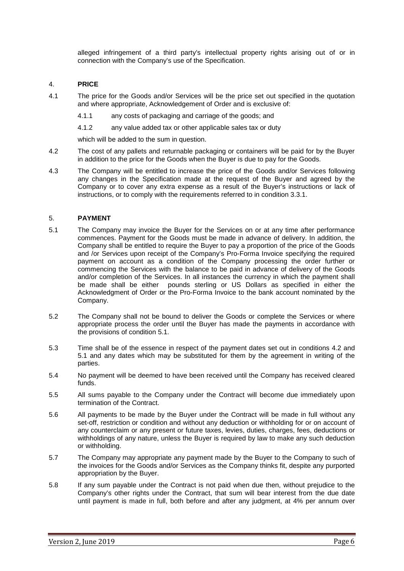alleged infringement of a third party's intellectual property rights arising out of or in connection with the Company's use of the Specification.

## 4. **PRICE**

- 4.1 The price for the Goods and/or Services will be the price set out specified in the quotation and where appropriate, Acknowledgement of Order and is exclusive of:
	- 4.1.1 any costs of packaging and carriage of the goods; and
	- 4.1.2 any value added tax or other applicable sales tax or duty

which will be added to the sum in question.

- <span id="page-5-0"></span>4.2 The cost of any pallets and returnable packaging or containers will be paid for by the Buyer in addition to the price for the Goods when the Buyer is due to pay for the Goods.
- 4.3 The Company will be entitled to increase the price of the Goods and/or Services following any changes in the Specification made at the request of the Buyer and agreed by the Company or to cover any extra expense as a result of the Buyer's instructions or lack of instructions, or to comply with the requirements referred to in condition [3.3.1.](#page-4-3)

## <span id="page-5-2"></span>5. **PAYMENT**

- <span id="page-5-1"></span>5.1 The Company may invoice the Buyer for the Services on or at any time after performance commences. Payment for the Goods must be made in advance of delivery. In addition, the Company shall be entitled to require the Buyer to pay a proportion of the price of the Goods and /or Services upon receipt of the Company's Pro-Forma Invoice specifying the required payment on account as a condition of the Company processing the order further or commencing the Services with the balance to be paid in advance of delivery of the Goods and/or completion of the Services. In all instances the currency in which the payment shall be made shall be either pounds sterling or US Dollars as specified in either the Acknowledgment of Order or the Pro-Forma Invoice to the bank account nominated by the Company.
- 5.2 The Company shall not be bound to deliver the Goods or complete the Services or where appropriate process the order until the Buyer has made the payments in accordance with the provisions of condition 5.1.
- 5.3 Time shall be of the essence in respect of the payment dates set out in conditions [4.2](#page-5-0) and [5.1](#page-5-1) and any dates which may be substituted for them by the agreement in writing of the parties.
- 5.4 No payment will be deemed to have been received until the Company has received cleared funds.
- 5.5 All sums payable to the Company under the Contract will become due immediately upon termination of the Contract.
- 5.6 All payments to be made by the Buyer under the Contract will be made in full without any set-off, restriction or condition and without any deduction or withholding for or on account of any counterclaim or any present or future taxes, levies, duties, charges, fees, deductions or withholdings of any nature, unless the Buyer is required by law to make any such deduction or withholding.
- 5.7 The Company may appropriate any payment made by the Buyer to the Company to such of the invoices for the Goods and/or Services as the Company thinks fit, despite any purported appropriation by the Buyer.
- 5.8 If any sum payable under the Contract is not paid when due then, without prejudice to the Company's other rights under the Contract, that sum will bear interest from the due date until payment is made in full, both before and after any judgment, at 4% per annum over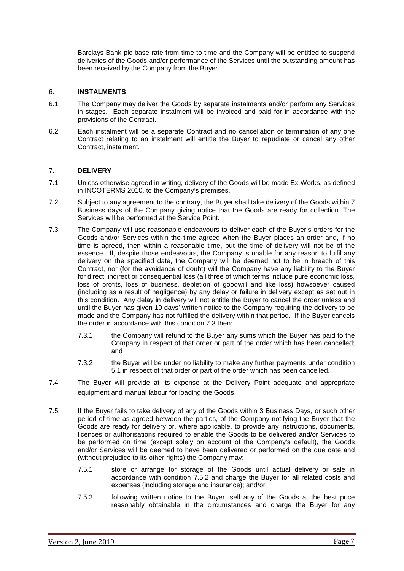Barclays Bank plc base rate from time to time and the Company will be entitled to suspend deliveries of the Goods and/or performance of the Services until the outstanding amount has been received by the Company from the Buyer.

## 6. **INSTALMENTS**

- 6.1 The Company may deliver the Goods by separate instalments and/or perform any Services in stages. Each separate instalment will be invoiced and paid for in accordance with the provisions of the Contract.
- 6.2 Each instalment will be a separate Contract and no cancellation or termination of any one Contract relating to an instalment will entitle the Buyer to repudiate or cancel any other Contract, instalment.

## 7. **DELIVERY**

- <span id="page-6-0"></span>7.1 Unless otherwise agreed in writing, delivery of the Goods will be made Ex-Works, as defined in INCOTERMS 2010, to the Company's premises.
- 7.2 Subject to any agreement to the contrary, the Buyer shall take delivery of the Goods within 7 Business days of the Company giving notice that the Goods are ready for collection. The Services will be performed at the Service Point.
- <span id="page-6-1"></span>7.3 The Company will use reasonable endeavours to deliver each of the Buyer's orders for the Goods and/or Services within the time agreed when the Buyer places an order and, if no time is agreed, then within a reasonable time, but the time of delivery will not be of the essence. If, despite those endeavours, the Company is unable for any reason to fulfil any delivery on the specified date, the Company will be deemed not to be in breach of this Contract, nor (for the avoidance of doubt) will the Company have any liability to the Buyer for direct, indirect or consequential loss (all three of which terms include pure economic loss, loss of profits, loss of business, depletion of goodwill and like loss) howsoever caused (including as a result of negligence) by any delay or failure in delivery except as set out in this condition. Any delay in delivery will not entitle the Buyer to cancel the order unless and until the Buyer has given 10 days' written notice to the Company requiring the delivery to be made and the Company has not fulfilled the delivery within that period. If the Buyer cancels the order in accordance with this condition [7.3](#page-6-1) then:
	- 7.3.1 the Company will refund to the Buyer any sums which the Buyer has paid to the Company in respect of that order or part of the order which has been cancelled; and
	- 7.3.2 the Buyer will be under no liability to make any further payments under condition [5.1](#page-5-1) in respect of that order or part of the order which has been cancelled.
- 7.4 The Buyer will provide at its expense at the Delivery Point adequate and appropriate equipment and manual labour for loading the Goods.
- <span id="page-6-2"></span>7.5 If the Buyer fails to take delivery of any of the Goods within 3 Business Days, or such other period of time as agreed between the parties, of the Company notifying the Buyer that the Goods are ready for delivery or, where applicable, to provide any instructions, documents, licences or authorisations required to enable the Goods to be delivered and/or Services to be performed on time (except solely on account of the Company's default), the Goods and/or Services will be deemed to have been delivered or performed on the due date and (without prejudice to its other rights) the Company may:
	- 7.5.1 store or arrange for storage of the Goods until actual delivery or sale in accordance with condition [7.5.2](#page-6-2) and charge the Buyer for all related costs and expenses (including storage and insurance); and/or
	- 7.5.2 following written notice to the Buyer, sell any of the Goods at the best price reasonably obtainable in the circumstances and charge the Buyer for any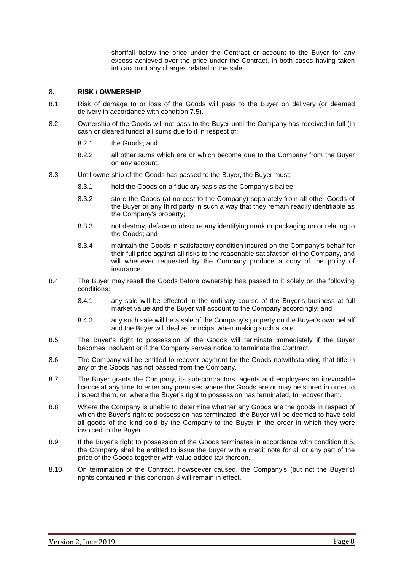shortfall below the price under the Contract or account to the Buyer for any excess achieved over the price under the Contract, in both cases having taken into account any charges related to the sale.

#### <span id="page-7-1"></span>8. **RISK / OWNERSHIP**

- 8.1 Risk of damage to or loss of the Goods will pass to the Buyer on delivery (or deemed delivery in accordance with condition 7.5).
- 8.2 Ownership of the Goods will not pass to the Buyer until the Company has received in full (in cash or cleared funds) all sums due to it in respect of:
	- 8.2.1 the Goods; and
	- 8.2.2 all other sums which are or which become due to the Company from the Buyer on any account.
- 8.3 Until ownership of the Goods has passed to the Buyer, the Buyer must:
	- 8.3.1 hold the Goods on a fiduciary basis as the Company's bailee;
	- 8.3.2 store the Goods (at no cost to the Company) separately from all other Goods of the Buyer or any third party in such a way that they remain readily identifiable as the Company's property;
	- 8.3.3 not destroy, deface or obscure any identifying mark or packaging on or relating to the Goods; and
	- 8.3.4 maintain the Goods in satisfactory condition insured on the Company's behalf for their full price against all risks to the reasonable satisfaction of the Company, and will whenever requested by the Company produce a copy of the policy of insurance.
- 8.4 The Buyer may resell the Goods before ownership has passed to it solely on the following conditions:
	- 8.4.1 any sale will be effected in the ordinary course of the Buyer's business at full market value and the Buyer will account to the Company accordingly; and
	- 8.4.2 any such sale will be a sale of the Company's property on the Buyer's own behalf and the Buyer will deal as principal when making such a sale.
- <span id="page-7-0"></span>8.5 The Buyer's right to possession of the Goods will terminate immediately if the Buyer becomes Insolvent or if the Company serves notice to terminate the Contract.
- 8.6 The Company will be entitled to recover payment for the Goods notwithstanding that title in any of the Goods has not passed from the Company.
- <span id="page-7-2"></span>8.7 The Buyer grants the Company, its sub-contractors, agents and employees an irrevocable licence at any time to enter any premises where the Goods are or may be stored in order to inspect them, or, where the Buyer's right to possession has terminated, to recover them.
- 8.8 Where the Company is unable to determine whether any Goods are the goods in respect of which the Buyer's right to possession has terminated, the Buyer will be deemed to have sold all goods of the kind sold by the Company to the Buyer in the order in which they were invoiced to the Buyer.
- 8.9 If the Buyer's right to possession of the Goods terminates in accordance with condition [8.5,](#page-7-0) the Company shall be entitled to issue the Buyer with a credit note for all or any part of the price of the Goods together with value added tax thereon.
- 8.10 On termination of the Contract, howsoever caused, the Company's (but not the Buyer's) rights contained in this condition [8](#page-7-1) will remain in effect.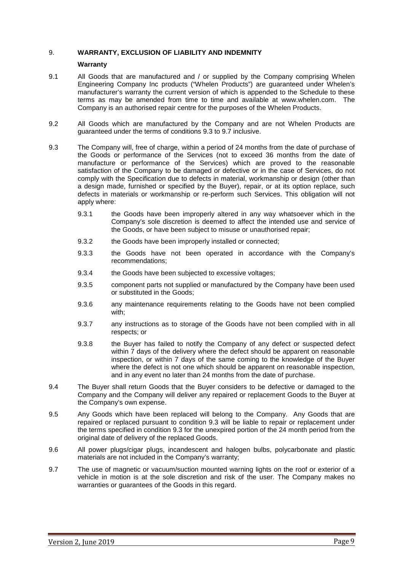## <span id="page-8-1"></span>9. **WARRANTY, EXCLUSION OF LIABILITY AND INDEMNITY**

#### **Warranty**

- <span id="page-8-0"></span>9.1 All Goods that are manufactured and / or supplied by the Company comprising Whelen Engineering Company Inc products ("Whelen Products") are guaranteed under Whelen's manufacturer's warranty the current version of which is appended to the Schedule to these terms as may be amended from time to time and available at www.whelen.com. The Company is an authorised repair centre for the purposes of the Whelen Products.
- 9.2 All Goods which are manufactured by the Company and are not Whelen Products are guaranteed under the terms of conditions 9.3 to 9.7 inclusive.
- 9.3 The Company will, free of charge, within a period of 24 months from the date of purchase of the Goods or performance of the Services (not to exceed 36 months from the date of manufacture or performance of the Services) which are proved to the reasonable satisfaction of the Company to be damaged or defective or in the case of Services, do not comply with the Specification due to defects in material, workmanship or design (other than a design made, furnished or specified by the Buyer), repair, or at its option replace, such defects in materials or workmanship or re-perform such Services. This obligation will not apply where:
	- 9.3.1 the Goods have been improperly altered in any way whatsoever which in the Company's sole discretion is deemed to affect the intended use and service of the Goods, or have been subject to misuse or unauthorised repair;
	- 9.3.2 the Goods have been improperly installed or connected;
	- 9.3.3 the Goods have not been operated in accordance with the Company's recommendations;
	- 9.3.4 the Goods have been subjected to excessive voltages;
	- 9.3.5 component parts not supplied or manufactured by the Company have been used or substituted in the Goods;
	- 9.3.6 any maintenance requirements relating to the Goods have not been complied with;
	- 9.3.7 any instructions as to storage of the Goods have not been complied with in all respects; or
	- 9.3.8 the Buyer has failed to notify the Company of any defect or suspected defect within 7 days of the delivery where the defect should be apparent on reasonable inspection, or within 7 days of the same coming to the knowledge of the Buyer where the defect is not one which should be apparent on reasonable inspection, and in any event no later than 24 months from the date of purchase.
- 9.4 The Buyer shall return Goods that the Buyer considers to be defective or damaged to the Company and the Company will deliver any repaired or replacement Goods to the Buyer at the Company's own expense.
- 9.5 Any Goods which have been replaced will belong to the Company. Any Goods that are repaired or replaced pursuant to condition 9.3 will be liable to repair or replacement under the terms specified in condition 9.3 for the unexpired portion of the 24 month period from the original date of delivery of the replaced Goods.
- 9.6 All power plugs/cigar plugs, incandescent and halogen bulbs, polycarbonate and plastic materials are not included in the Company's warranty;
- 9.7 The use of magnetic or vacuum/suction mounted warning lights on the roof or exterior of a vehicle in motion is at the sole discretion and risk of the user. The Company makes no warranties or guarantees of the Goods in this regard.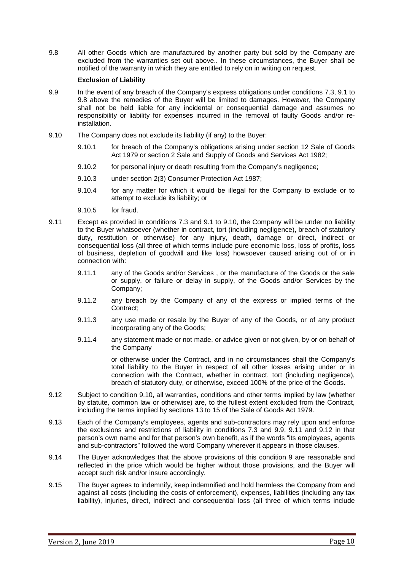9.8 All other Goods which are manufactured by another party but sold by the Company are excluded from the warranties set out above.. In these circumstances, the Buyer shall be notified of the warranty in which they are entitled to rely on in writing on request.

## **Exclusion of Liability**

- <span id="page-9-1"></span>9.9 In the event of any breach of the Company's express obligations under conditions [7.3,](#page-6-1) [9.1](#page-8-0) to 9.8 above the remedies of the Buyer will be limited to damages. However, the Company shall not be held liable for any incidental or consequential damage and assumes no responsibility or liability for expenses incurred in the removal of faulty Goods and/or reinstallation.
- <span id="page-9-0"></span>9.10 The Company does not exclude its liability (if any) to the Buyer:
	- 9.10.1 for breach of the Company's obligations arising under section 12 Sale of Goods Act 1979 or section 2 Sale and Supply of Goods and Services Act 1982;
	- 9.10.2 for personal injury or death resulting from the Company's negligence;
	- 9.10.3 under section 2(3) Consumer Protection Act 1987;
	- 9.10.4 for any matter for which it would be illegal for the Company to exclude or to attempt to exclude its liability; or
	- 9.10.5 for fraud.
- <span id="page-9-2"></span>9.11 Except as provided in conditions [7.3](#page-6-1) and [9.1](#page-8-0) to [9.10,](#page-9-0) the Company will be under no liability to the Buyer whatsoever (whether in contract, tort (including negligence), breach of statutory duty, restitution or otherwise) for any injury, death, damage or direct, indirect or consequential loss (all three of which terms include pure economic loss, loss of profits, loss of business, depletion of goodwill and like loss) howsoever caused arising out of or in connection with:
	- 9.11.1 any of the Goods and/or Services , or the manufacture of the Goods or the sale or supply, or failure or delay in supply, of the Goods and/or Services by the Company;
	- 9.11.2 any breach by the Company of any of the express or implied terms of the Contract;
	- 9.11.3 any use made or resale by the Buyer of any of the Goods, or of any product incorporating any of the Goods;
	- 9.11.4 any statement made or not made, or advice given or not given, by or on behalf of the Company

or otherwise under the Contract, and in no circumstances shall the Company's total liability to the Buyer in respect of all other losses arising under or in connection with the Contract, whether in contract, tort (including negligence), breach of statutory duty, or otherwise, exceed 100% of the price of the Goods.

- <span id="page-9-3"></span>9.12 Subject to condition [9.10,](#page-9-0) all warranties, conditions and other terms implied by law (whether by statute, common law or otherwise) are, to the fullest extent excluded from the Contract, including the terms implied by sections 13 to 15 of the Sale of Goods Act 1979.
- 9.13 Each of the Company's employees, agents and sub-contractors may rely upon and enforce the exclusions and restrictions of liability in conditions [7.3](#page-6-1) and [9.9,](#page-9-1) [9.11](#page-9-2) and [9.12](#page-9-3) in that person's own name and for that person's own benefit, as if the words "its employees, agents and sub-contractors" followed the word Company wherever it appears in those clauses.
- 9.14 The Buyer acknowledges that the above provisions of this condition [9](#page-8-1) are reasonable and reflected in the price which would be higher without those provisions, and the Buyer will accept such risk and/or insure accordingly.
- 9.15 The Buyer agrees to indemnify, keep indemnified and hold harmless the Company from and against all costs (including the costs of enforcement), expenses, liabilities (including any tax liability), injuries, direct, indirect and consequential loss (all three of which terms include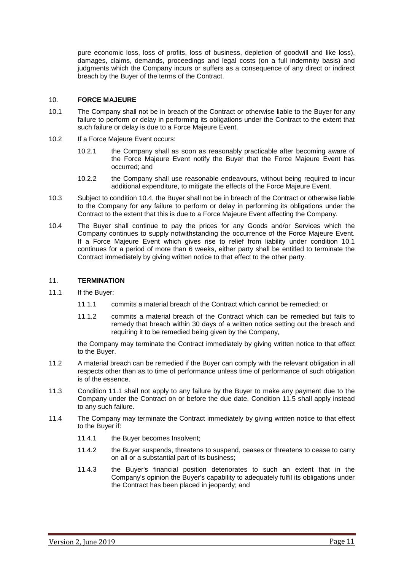pure economic loss, loss of profits, loss of business, depletion of goodwill and like loss), damages, claims, demands, proceedings and legal costs (on a full indemnity basis) and judgments which the Company incurs or suffers as a consequence of any direct or indirect breach by the Buyer of the terms of the Contract.

## 10. **FORCE MAJEURE**

- <span id="page-10-1"></span>10.1 The Company shall not be in breach of the Contract or otherwise liable to the Buyer for any failure to perform or delay in performing its obligations under the Contract to the extent that such failure or delay is due to a Force Majeure Event.
- 10.2 If a Force Majeure Event occurs:
	- 10.2.1 the Company shall as soon as reasonably practicable after becoming aware of the Force Majeure Event notify the Buyer that the Force Majeure Event has occurred; and
	- 10.2.2 the Company shall use reasonable endeavours, without being required to incur additional expenditure, to mitigate the effects of the Force Majeure Event.
- 10.3 Subject to condition [10.4,](#page-10-0) the Buyer shall not be in breach of the Contract or otherwise liable to the Company for any failure to perform or delay in performing its obligations under the Contract to the extent that this is due to a Force Majeure Event affecting the Company.
- <span id="page-10-0"></span>10.4 The Buyer shall continue to pay the prices for any Goods and/or Services which the Company continues to supply notwithstanding the occurrence of the Force Majeure Event. If a Force Majeure Event which gives rise to relief from liability under condition [10.1](#page-10-1) continues for a period of more than 6 weeks, either party shall be entitled to terminate the Contract immediately by giving written notice to that effect to the other party.

## <span id="page-10-3"></span>11. **TERMINATION**

- <span id="page-10-4"></span><span id="page-10-2"></span>11.1 If the Buyer:
	- 11.1.1 commits a material breach of the Contract which cannot be remedied; or
	- 11.1.2 commits a material breach of the Contract which can be remedied but fails to remedy that breach within 30 days of a written notice setting out the breach and requiring it to be remedied being given by the Company,

the Company may terminate the Contract immediately by giving written notice to that effect to the Buyer.

- 11.2 A material breach can be remedied if the Buyer can comply with the relevant obligation in all respects other than as to time of performance unless time of performance of such obligation is of the essence.
- 11.3 Condition [11.1](#page-10-2) shall not apply to any failure by the Buyer to make any payment due to the Company under the Contract on or before the due date. Condition [11.5](#page-11-0) shall apply instead to any such failure.
- 11.4 The Company may terminate the Contract immediately by giving written notice to that effect to the Buyer if:
	- 11.4.1 the Buyer becomes Insolvent;
	- 11.4.2 the Buyer suspends, threatens to suspend, ceases or threatens to cease to carry on all or a substantial part of its business;
	- 11.4.3 the Buyer's financial position deteriorates to such an extent that in the Company's opinion the Buyer's capability to adequately fulfil its obligations under the Contract has been placed in jeopardy; and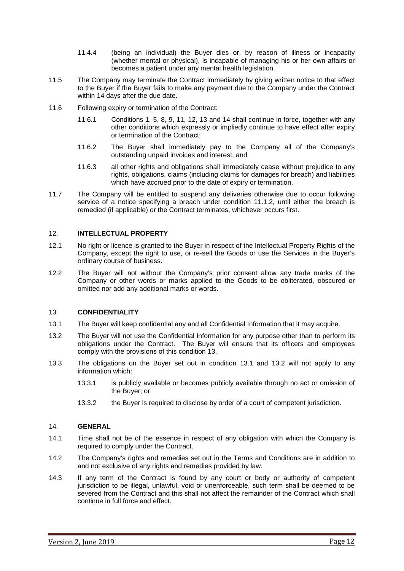- 11.4.4 (being an individual) the Buyer dies or, by reason of illness or incapacity (whether mental or physical), is incapable of managing his or her own affairs or becomes a patient under any mental health legislation.
- <span id="page-11-0"></span>11.5 The Company may terminate the Contract immediately by giving written notice to that effect to the Buyer if the Buyer fails to make any payment due to the Company under the Contract within 14 days after the due date.
- 11.6 Following expiry or termination of the Contract:
	- 11.6.1 Conditions [1,](#page-1-0) [5,](#page-5-2) [8,](#page-7-1) [9,](#page-8-1) [11,](#page-10-3) [12,](#page-11-1) [13](#page-11-2) and [14](#page-11-3) shall continue in force, together with any other conditions which expressly or impliedly continue to have effect after expiry or termination of the Contract;
	- 11.6.2 The Buyer shall immediately pay to the Company all of the Company's outstanding unpaid invoices and interest; and
	- 11.6.3 all other rights and obligations shall immediately cease without prejudice to any rights, obligations, claims (including claims for damages for breach) and liabilities which have accrued prior to the date of expiry or termination.
- 11.7 The Company will be entitled to suspend any deliveries otherwise due to occur following service of a notice specifying a breach under condition [11.1.2,](#page-10-4) until either the breach is remedied (if applicable) or the Contract terminates, whichever occurs first.

## <span id="page-11-1"></span>12. **INTELLECTUAL PROPERTY**

- 12.1 No right or licence is granted to the Buyer in respect of the Intellectual Property Rights of the Company, except the right to use, or re-sell the Goods or use the Services in the Buyer's ordinary course of business.
- 12.2 The Buyer will not without the Company's prior consent allow any trade marks of the Company or other words or marks applied to the Goods to be obliterated, obscured or omitted nor add any additional marks or words.

#### <span id="page-11-2"></span>13. **CONFIDENTIALITY**

- <span id="page-11-4"></span>13.1 The Buyer will keep confidential any and all Confidential Information that it may acquire.
- <span id="page-11-5"></span>13.2 The Buyer will not use the Confidential Information for any purpose other than to perform its obligations under the Contract. The Buyer will ensure that its officers and employees comply with the provisions of this condition [13.](#page-11-2)
- 13.3 The obligations on the Buyer set out in condition [13.1](#page-11-4) and [13.2](#page-11-5) will not apply to any information which:
	- 13.3.1 is publicly available or becomes publicly available through no act or omission of the Buyer; or
	- 13.3.2 the Buyer is required to disclose by order of a court of competent jurisdiction.

#### <span id="page-11-3"></span>14. **GENERAL**

- 14.1 Time shall not be of the essence in respect of any obligation with which the Company is required to comply under the Contract.
- 14.2 The Company's rights and remedies set out in the Terms and Conditions are in addition to and not exclusive of any rights and remedies provided by law.
- 14.3 If any term of the Contract is found by any court or body or authority of competent jurisdiction to be illegal, unlawful, void or unenforceable, such term shall be deemed to be severed from the Contract and this shall not affect the remainder of the Contract which shall continue in full force and effect.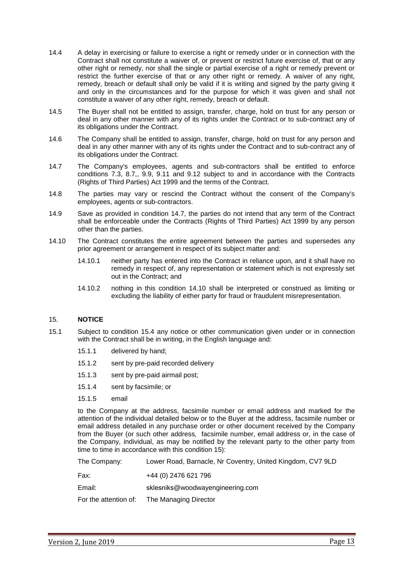- 14.4 A delay in exercising or failure to exercise a right or remedy under or in connection with the Contract shall not constitute a waiver of, or prevent or restrict future exercise of, that or any other right or remedy, nor shall the single or partial exercise of a right or remedy prevent or restrict the further exercise of that or any other right or remedy. A waiver of any right, remedy, breach or default shall only be valid if it is writing and signed by the party giving it and only in the circumstances and for the purpose for which it was given and shall not constitute a waiver of any other right, remedy, breach or default.
- 14.5 The Buyer shall not be entitled to assign, transfer, charge, hold on trust for any person or deal in any other manner with any of its rights under the Contract or to sub-contract any of its obligations under the Contract.
- 14.6 The Company shall be entitled to assign, transfer, charge, hold on trust for any person and deal in any other manner with any of its rights under the Contract and to sub-contract any of its obligations under the Contract.
- <span id="page-12-0"></span>14.7 The Company's employees, agents and sub-contractors shall be entitled to enforce conditions 7.3, [8.7,](#page-7-2), 9.9, 9.11 and 9.12 subject to and in accordance with the Contracts (Rights of Third Parties) Act 1999 and the terms of the Contract.
- 14.8 The parties may vary or rescind the Contract without the consent of the Company's employees, agents or sub-contractors.
- 14.9 Save as provided in condition [14.7,](#page-12-0) the parties do not intend that any term of the Contract shall be enforceable under the Contracts (Rights of Third Parties) Act 1999 by any person other than the parties.
- <span id="page-12-1"></span>14.10 The Contract constitutes the entire agreement between the parties and supersedes any prior agreement or arrangement in respect of its subject matter and:
	- 14.10.1 neither party has entered into the Contract in reliance upon, and it shall have no remedy in respect of, any representation or statement which is not expressly set out in the Contract; and
	- 14.10.2 nothing in this condition [14.10](#page-12-1) shall be interpreted or construed as limiting or excluding the liability of either party for fraud or fraudulent misrepresentation.

## <span id="page-12-2"></span>15. **NOTICE**

- <span id="page-12-3"></span>15.1 Subject to condition [15.4](#page-13-0) any notice or other communication given under or in connection with the Contract shall be in writing, in the English language and:
	- 15.1.1 delivered by hand;
	- 15.1.2 sent by pre-paid recorded delivery
	- 15.1.3 sent by pre-paid airmail post;
	- 15.1.4 sent by facsimile; or
	- 15.1.5 email

to the Company at the address, facsimile number or email address and marked for the attention of the individual detailed below or to the Buyer at the address, facsimile number or email address detailed in any purchase order or other document received by the Company from the Buyer (or such other address*,* facsimile number, email address or, in the case of the Company, individual, as may be notified by the relevant party to the other party from time to time in accordance with this condition [15\)](#page-12-2):

The Company: Lower Road, Barnacle, Nr Coventry, United Kingdom, CV7 9LD

Fax: +44 (0) 2476 621 796

Email: sklesniks@woodwayengineering.com

For the attention of: The Managing Director